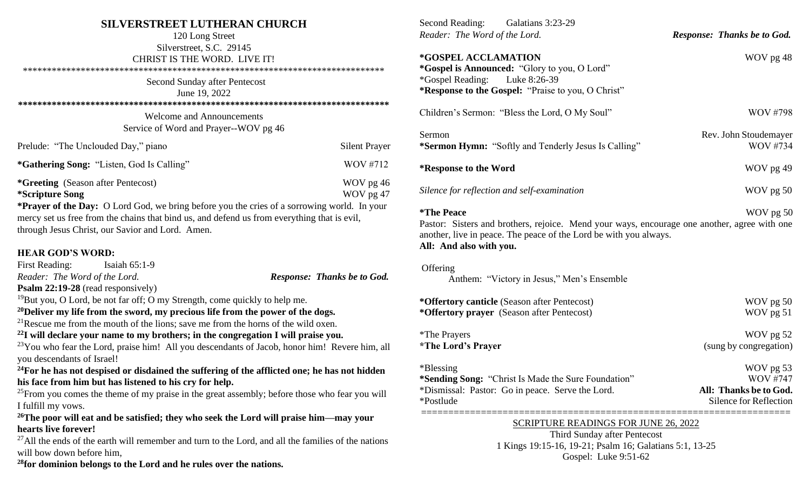# **SILVERSTREET LUTHERAN CHURCH**

| 120 Long Street                                                                             |                      |
|---------------------------------------------------------------------------------------------|----------------------|
| Silverstreet, S.C. 29145                                                                    |                      |
| CHRIST IS THE WORD. LIVE IT!                                                                |                      |
|                                                                                             |                      |
| Second Sunday after Pentecost                                                               |                      |
| June 19, 2022                                                                               |                      |
|                                                                                             |                      |
| <b>Welcome and Announcements</b>                                                            |                      |
| Service of Word and Prayer--WOV pg 46                                                       |                      |
| Prelude: "The Unclouded Day," piano                                                         | <b>Silent Prayer</b> |
| <i>*Gathering Song: "Listen, God Is Calling"</i>                                            | WOV #712             |
| <i>*Greeting</i> (Season after Pentecost)                                                   | WOV pg 46            |
| <i>*Scripture Song</i>                                                                      | WOV pg 47            |
| *Prayer of the Day: O Lord God, we bring before you the cries of a sorrowing world. In your |                      |
|                                                                                             |                      |

mercy set us free from the chains that bind us, and defend us from everything that is evil, through Jesus Christ, our Savior and Lord. Amen.

### **HEAR GOD'S WORD:**

| <b>First Reading:</b><br>Isaiah $65:1-9$                                                                  |                                    |  |  |
|-----------------------------------------------------------------------------------------------------------|------------------------------------|--|--|
| Reader: The Word of the Lord.                                                                             | <b>Response: Thanks be to God.</b> |  |  |
| Psalm 22:19-28 (read responsively)                                                                        |                                    |  |  |
| $19$ But you, O Lord, be not far off; O my Strength, come quickly to help me.                             |                                    |  |  |
| <sup>20</sup> Deliver my life from the sword, my precious life from the power of the dogs.                |                                    |  |  |
| <sup>21</sup> Rescue me from the mouth of the lions; save me from the horns of the wild oxen.             |                                    |  |  |
| $^{22}$ I will declare your name to my brothers; in the congregation I will praise you.                   |                                    |  |  |
| <sup>23</sup> You who fear the Lord, praise him! All you descendants of Jacob, honor him! Revere him, all |                                    |  |  |
| you descendants of Israel!                                                                                |                                    |  |  |
|                                                                                                           |                                    |  |  |

**<sup>24</sup>For he has not despised or disdained the suffering of the afflicted one; he has not hidden his face from him but has listened to his cry for help.**

 $25$ From you comes the theme of my praise in the great assembly; before those who fear you will I fulfill my vows.

**<sup>26</sup>The poor will eat and be satisfied; they who seek the Lord will praise him—may your hearts live forever!**

 $27$ All the ends of the earth will remember and turn to the Lord, and all the families of the nations will bow down before him,

**<sup>28</sup>for dominion belongs to the Lord and he rules over the nations.**

| Second Reading: Galatians 3:23-29<br>Reader: The Word of the Lord.                                                                                                                                                       | <b>Response: Thanks be to God.</b>                                                      |
|--------------------------------------------------------------------------------------------------------------------------------------------------------------------------------------------------------------------------|-----------------------------------------------------------------------------------------|
| *GOSPEL ACCLAMATION<br><i>*Gospel is Announced: "Glory to you, O Lord"</i><br><i>*</i> Gospel Reading:<br>Luke 8:26-39<br>*Response to the Gospel: "Praise to you, O Christ"                                             | WOV pg 48                                                                               |
| Children's Sermon: "Bless the Lord, O My Soul"                                                                                                                                                                           | <b>WOV #798</b>                                                                         |
| Sermon<br>*Sermon Hymn: "Softly and Tenderly Jesus Is Calling"                                                                                                                                                           | Rev. John Stoudemayer<br>WOV #734                                                       |
| *Response to the Word                                                                                                                                                                                                    | WOV pg 49                                                                               |
| Silence for reflection and self-examination                                                                                                                                                                              | WOV pg 50                                                                               |
| <i><b>*The Peace</b></i><br>Pastor: Sisters and brothers, rejoice. Mend your ways, encourage one another, agree with one<br>another, live in peace. The peace of the Lord be with you always.<br>All: And also with you. | WOV pg 50                                                                               |
| Offering<br>Anthem: "Victory in Jesus," Men's Ensemble                                                                                                                                                                   |                                                                                         |
| *Offertory canticle (Season after Pentecost)<br>*Offertory prayer (Season after Pentecost)                                                                                                                               | WOV pg 50<br>WOV pg 51                                                                  |
| <i>*</i> The Prayers<br><i><b>*The Lord's Prayer</b></i>                                                                                                                                                                 | WOV pg 52<br>(sung by congregation)                                                     |
| *Blessing<br>*Sending Song: "Christ Is Made the Sure Foundation"<br>*Dismissal: Pastor: Go in peace. Serve the Lord.<br>*Postlude                                                                                        | WOV pg 53<br><b>WOV #747</b><br>All: Thanks be to God.<br><b>Silence for Reflection</b> |

#### SCRIPTURE READINGS FOR JUNE 26, 2022

Third Sunday after Pentecost 1 Kings 19:15-16, 19-21; Psalm 16; Galatians 5:1, 13-25 Gospel: Luke 9:51-62